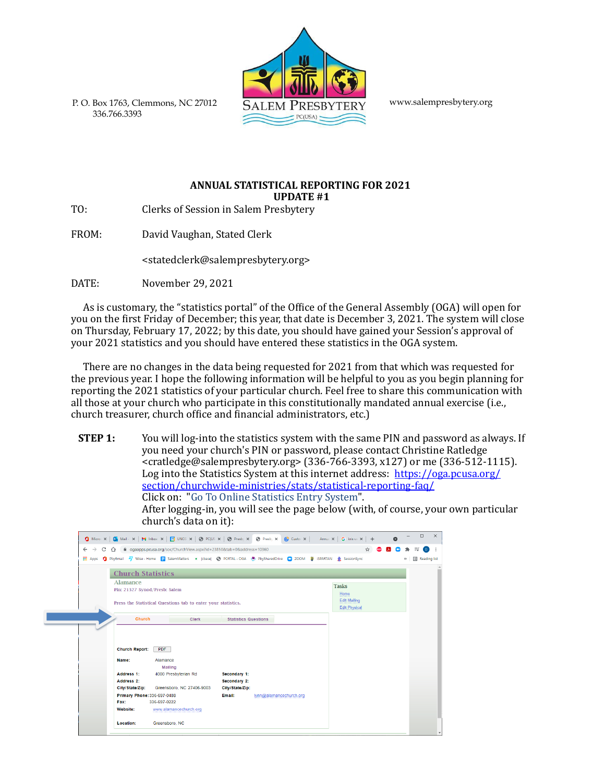[www.salempresbytery.org](http://www.salempresbytery.org/)

P. O. Box 1763, Clemmons, NC 27012 336.766.3393

## **ANNUAL STATISTICAL REPORTING FOR 2021 UPDATE** #1

TO: Clerks of Session in Salem Presbytery

FROM: David Vaughan, Stated Clerk

[<stated](mailto:statedclerk@salempresbytery.org)c[lerk@salempresbytery.org>](mailto:statedclerk@salempresbytery.org)

DATE: November 29, 2021

Г

As is customary, the "statistics portal" of the Office of the General Assembly (OGA) will open for you on the first Friday of December; this year, that date is December 3, 2021. The system will close on Thursday, February 17, 2022; by this date, you should have gained your Session's approval of your 2021 statistics and you should have entered these statistics in the OGA system.

There are no changes in the data being requested for  $2021$  from that which was requested for the previous year. I hope the following information will be helpful to you as you begin planning for reporting the 2021 statistics of your particular church. Feel free to share this communication with all those at your church who participate in this constitutionally mandated annual exercise (i.e., church treasurer, church office and financial administrators, etc.)

**STEP 1:** You will log-into the statistics system with the same PIN and password as always. If you need your church's PIN or password, please contact Christine Ratledge  $\overline{\text{cardledge@salempresbytery.org}}$  (336-766-3393, x127) or me (336-512-1115). Log into the Statistics System at this internet address: https://oga.pcusa.org/ [section/churchwide-ministries/stats/statistical-reporting-faq/](https://oga.pcusa.org/section/churchwide-ministries/stats/statistical-reporting-faq/) Click on: "Go To Online Statistics Entry System". After logging-in, you will see the page below (with, of course, your own particular church's data on it):

|                 |                               | O PbyEmail 47 Wise Home E SalemMatters e chase @ PORTAL OGA @ PbySharedDrive CO ZOOM & ISPARTAN |                             | @ ogaapps.pcusa.org/soc/ChurchView.aspx?id=23850&tab=0&address=10360 | SessionSync          |  | 圓<br>33 |
|-----------------|-------------------------------|-------------------------------------------------------------------------------------------------|-----------------------------|----------------------------------------------------------------------|----------------------|--|---------|
| <b>III</b> Apps |                               |                                                                                                 |                             |                                                                      |                      |  |         |
|                 | <b>Church Statistics</b>      |                                                                                                 |                             |                                                                      |                      |  |         |
|                 | <b>Alamance</b>               |                                                                                                 |                             |                                                                      |                      |  |         |
|                 | Pin: 21327 Synod/Presb: Salem |                                                                                                 |                             |                                                                      | <b>Tasks</b>         |  |         |
|                 |                               |                                                                                                 |                             |                                                                      | Home                 |  |         |
|                 |                               | Press the Statistical Questions tab to enter your statistics.                                   |                             |                                                                      | <b>Edit Mailing</b>  |  |         |
|                 |                               |                                                                                                 |                             |                                                                      | <b>Edit Physical</b> |  |         |
|                 |                               |                                                                                                 |                             |                                                                      |                      |  |         |
|                 | Church                        | Clerk                                                                                           | <b>Statistics Questions</b> |                                                                      |                      |  |         |
|                 |                               |                                                                                                 |                             |                                                                      |                      |  |         |
|                 | <b>Church Report:</b>         | <b>PDF</b>                                                                                      |                             |                                                                      |                      |  |         |
|                 | Name:                         | Alamance<br><b>Mailing</b>                                                                      |                             |                                                                      |                      |  |         |
|                 | Address 1:                    | 4000 Presbyterian Rd                                                                            | Secondary 1:                |                                                                      |                      |  |         |
|                 | Address 2:                    |                                                                                                 | Secondary 2:                |                                                                      |                      |  |         |
|                 | City/State/Zip:               | Greensboro, NC 27406-9003                                                                       | City/State/Zip:             |                                                                      |                      |  |         |
|                 | Primary Phone: 336-697-0488   |                                                                                                 | Email:                      | lynn@alamancechurch.org                                              |                      |  |         |
|                 | Fax:                          | 336-697-0222                                                                                    |                             |                                                                      |                      |  |         |